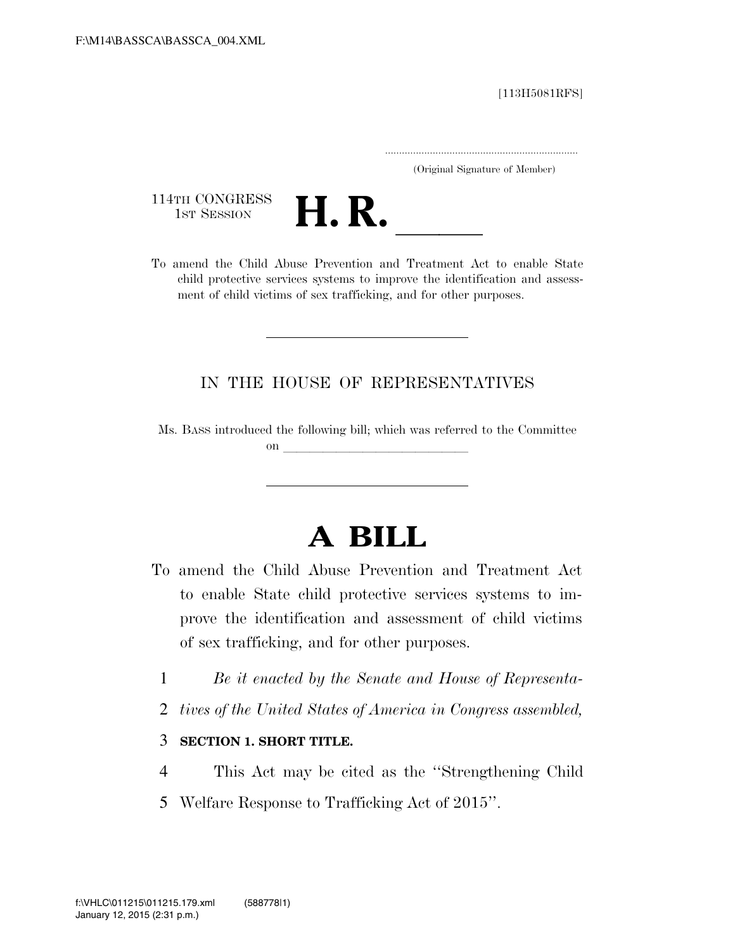[113H5081RFS]

.....................................................................

(Original Signature of Member)

114TH CONGRESS<br>1st Session



114TH CONGRESS<br>1st SESSION<br>To amend the Child Abuse Prevention and Treatment Act to enable State child protective services systems to improve the identification and assessment of child victims of sex trafficking, and for other purposes.

## IN THE HOUSE OF REPRESENTATIVES

Ms. BASS introduced the following bill; which was referred to the Committee on  $\overline{\qquad \qquad }$ 

## **A BILL**

- To amend the Child Abuse Prevention and Treatment Act to enable State child protective services systems to improve the identification and assessment of child victims of sex trafficking, and for other purposes.
	- 1 *Be it enacted by the Senate and House of Representa-*
	- 2 *tives of the United States of America in Congress assembled,*

## 3 **SECTION 1. SHORT TITLE.**

- 4 This Act may be cited as the ''Strengthening Child
- 5 Welfare Response to Trafficking Act of 2015''.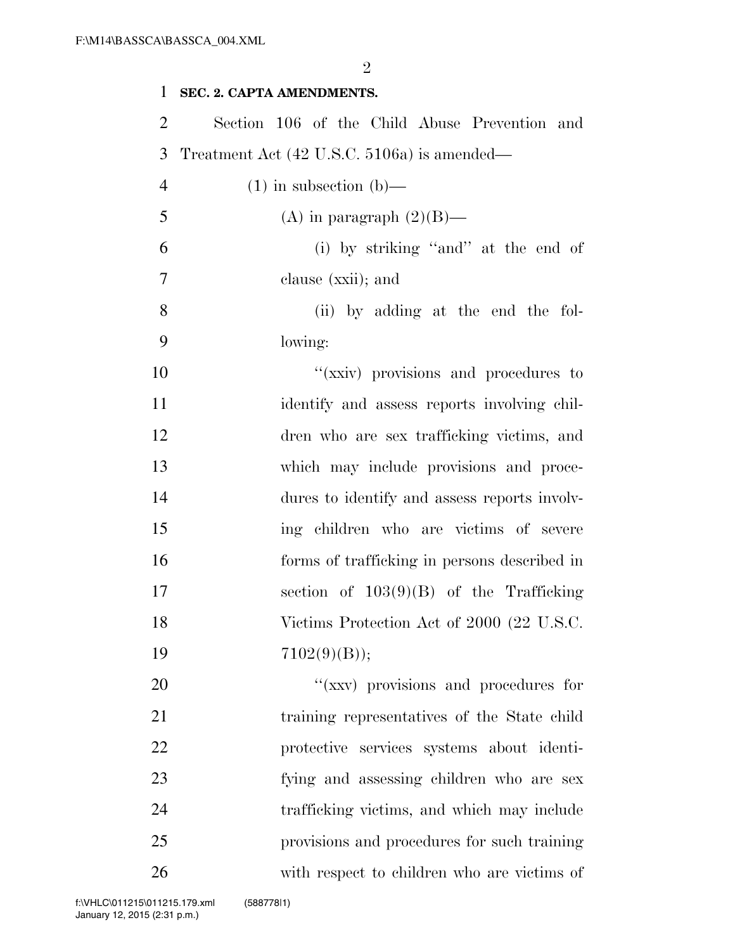$\mathfrak{D}$ 

## **SEC. 2. CAPTA AMENDMENTS.**  Section 106 of the Child Abuse Prevention and Treatment Act (42 U.S.C. 5106a) is amended— 4 (1) in subsection (b)— 5 (A) in paragraph  $(2)(B)$ — (i) by striking ''and'' at the end of clause (xxii); and (ii) by adding at the end the fol- lowing: 10  $''(x\nxiv)$  provisions and procedures to identify and assess reports involving chil- dren who are sex trafficking victims, and which may include provisions and proce- dures to identify and assess reports involv- ing children who are victims of severe forms of trafficking in persons described in section of 103(9)(B) of the Trafficking 18 Victims Protection Act of 2000 (22 U.S.C. 19  $7102(9)(B)$ ; 20  $\frac{1}{20}$   $\frac{1}{20}$   $\frac{1}{20}$  provisions and procedures for training representatives of the State child protective services systems about identi- fying and assessing children who are sex trafficking victims, and which may include provisions and procedures for such training with respect to children who are victims of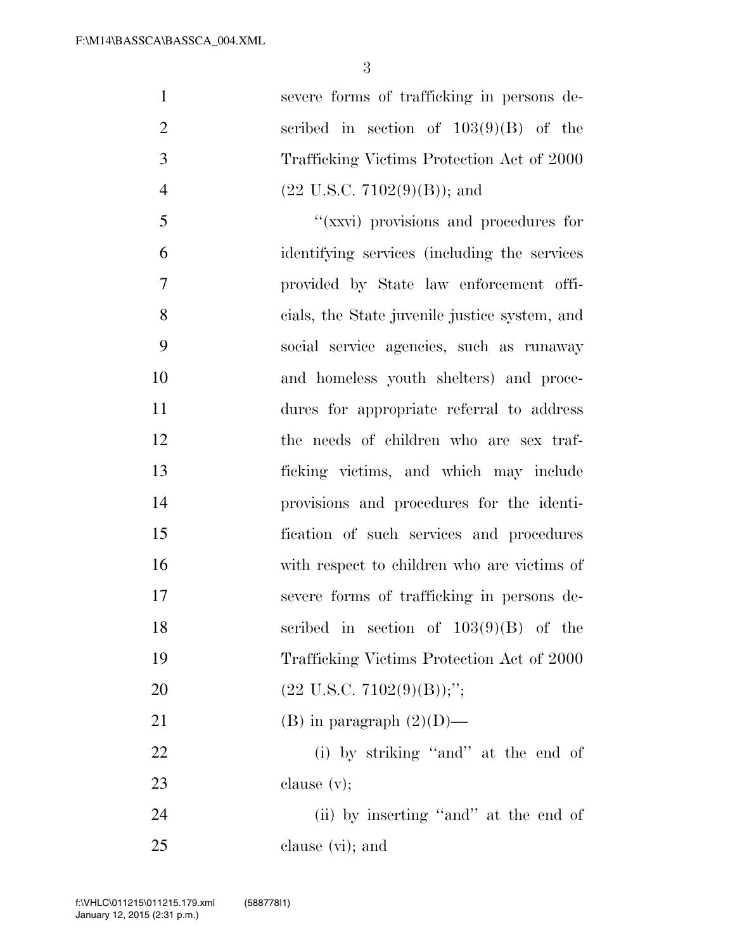| $\mathbf{1}$   | severe forms of trafficking in persons de-     |
|----------------|------------------------------------------------|
| $\overline{2}$ | scribed in section of $103(9)(B)$ of the       |
| 3              | Trafficking Victims Protection Act of 2000     |
| $\overline{4}$ | $(22 \text{ U.S.C. } 7102(9)(\text{B}))$ ; and |
| 5              | "(xxvi) provisions and procedures for          |
| 6              | identifying services (including the services   |
| 7              | provided by State law enforcement offi-        |
| 8              | cials, the State juvenile justice system, and  |
| 9              | social service agencies, such as runaway       |
| 10             | and homeless youth shelters) and proce-        |
| 11             | dures for appropriate referral to address      |
| 12             | the needs of children who are sex traf-        |
| 13             | ficking victims, and which may include         |
| 14             | provisions and procedures for the identi-      |
| 15             | fication of such services and procedures       |
| 16             | with respect to children who are victims of    |
| 17             | severe forms of trafficking in persons de-     |
| 18             | scribed in section of $103(9)(B)$ of the       |
| 19             | Trafficking Victims Protection Act of 2000     |
| 20             | $(22 \text{ U.S.C. } 7102(9)(\text{B}));$ ";   |
| 21             | (B) in paragraph $(2)(D)$ —                    |
| 22             | (i) by striking "and" at the end of            |
| 23             | clause $(v)$ ;                                 |
| 24             | (ii) by inserting "and" at the end of          |
| 25             | clause (vi); and                               |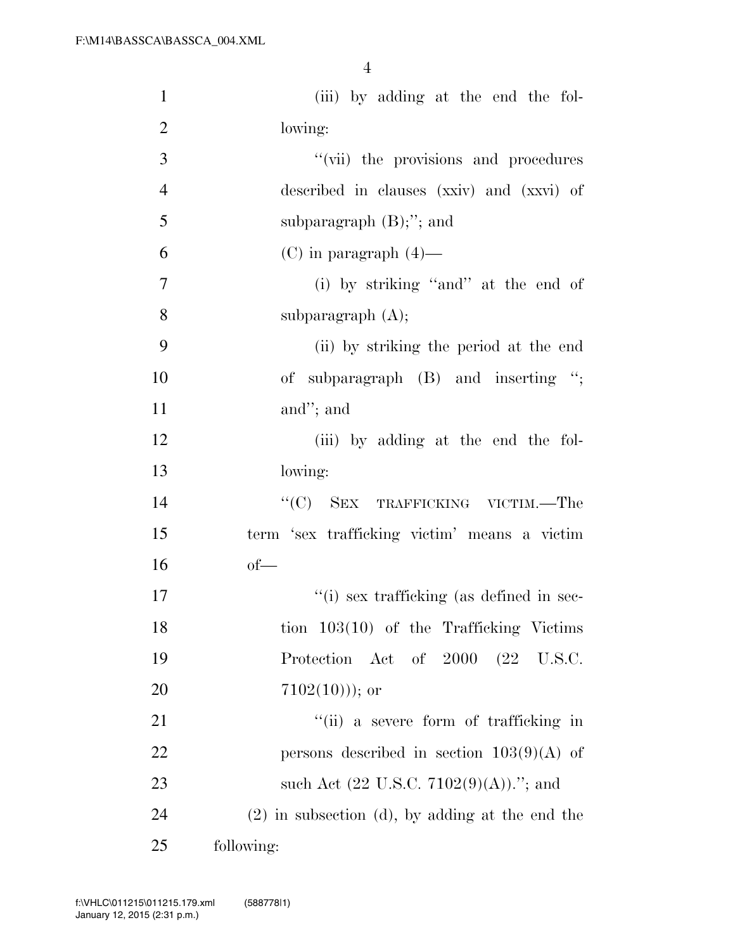| $\mathbf{1}$   | (iii) by adding at the end the fol-                       |
|----------------|-----------------------------------------------------------|
| $\overline{2}$ | lowing:                                                   |
| 3              | "(vii) the provisions and procedures                      |
| $\overline{4}$ | described in clauses (xxiv) and (xxvi) of                 |
| 5              | subparagraph $(B)$ ;"; and                                |
| 6              | $(C)$ in paragraph $(4)$ —                                |
| $\overline{7}$ | (i) by striking "and" at the end of                       |
| 8              | subparagraph $(A)$ ;                                      |
| 9              | (ii) by striking the period at the end                    |
| 10             | of subparagraph (B) and inserting ";                      |
| 11             | and"; and                                                 |
| 12             | (iii) by adding at the end the fol-                       |
| 13             | lowing:                                                   |
| 14             | "(C) SEX TRAFFICKING VICTIM.—The                          |
| 15             | term 'sex trafficking victim' means a victim              |
| 16             | $of$ —                                                    |
| 17             | $``(i)$ sex trafficking (as defined in sec-               |
| 18             | tion $103(10)$ of the Trafficking Victims                 |
| 19             | Act of 2000 (22 U.S.C.<br>Protection                      |
| 20             | $7102(10))$ ; or                                          |
| 21             | "(ii) a severe form of trafficking in                     |
| 22             | persons described in section $103(9)(A)$ of               |
| 23             | such Act $(22 \text{ U.S.C. } 7102(9)(\text{A})).$ "; and |
| 24             | $(2)$ in subsection (d), by adding at the end the         |
| 25             | following:                                                |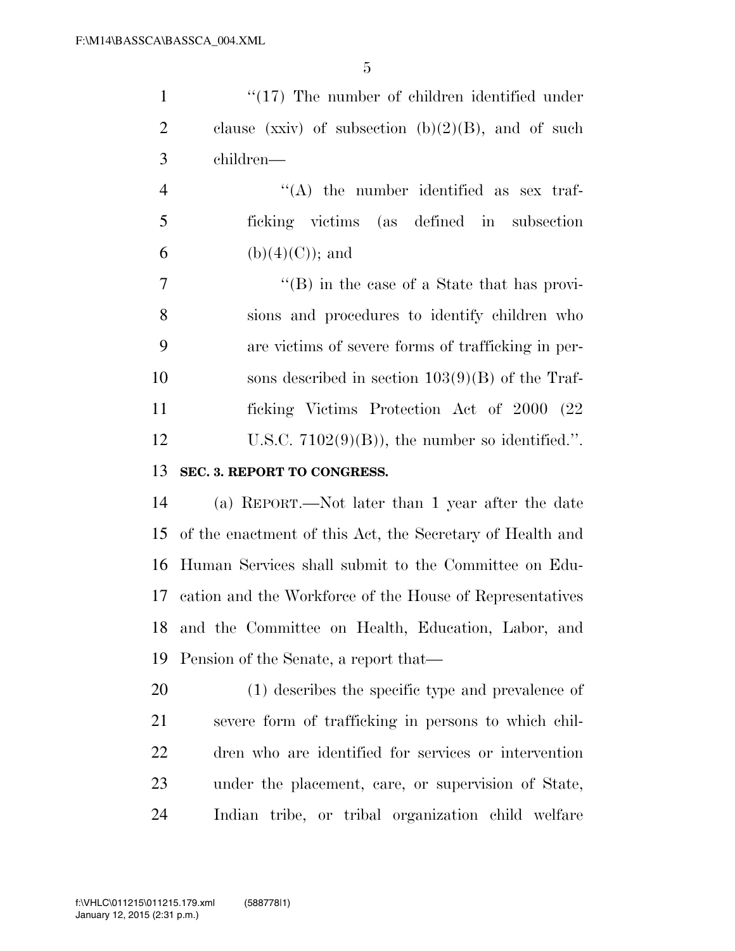| $\mathbf{1}$   | $\lq(17)$ The number of children identified under         |
|----------------|-----------------------------------------------------------|
| $\overline{2}$ | clause (xxiv) of subsection $(b)(2)(B)$ , and of such     |
| 3              | children—                                                 |
| $\overline{4}$ | $\lq\lq$ the number identified as sex traf-               |
| 5              | ficking victims (as defined in subsection                 |
| 6              | $(b)(4)(C)$ ; and                                         |
| $\overline{7}$ | $\lq\lq$ (B) in the case of a State that has provi-       |
| 8              | sions and procedures to identify children who             |
| 9              | are victims of severe forms of trafficking in per-        |
| 10             | sons described in section $103(9)(B)$ of the Traf-        |
| 11             | ficking Victims Protection Act of 2000 (22)               |
| 12             | U.S.C. $7102(9)(B)$ , the number so identified.".         |
| 13             | SEC. 3. REPORT TO CONGRESS.                               |
| 14             | (a) REPORT.—Not later than 1 year after the date          |
| 15             | of the enactment of this Act, the Secretary of Health and |
| 16             | Human Services shall submit to the Committee on Edu-      |
| 17             | cation and the Workforce of the House of Representatives  |
| 18             | and the Committee on Health, Education, Labor, and        |
| 19             | Pension of the Senate, a report that—                     |
| 20             | (1) describes the specific type and prevalence of         |
| 21             | severe form of trafficking in persons to which chil-      |
| 22             | dren who are identified for services or intervention      |
|                |                                                           |
| 23             | under the placement, care, or supervision of State,       |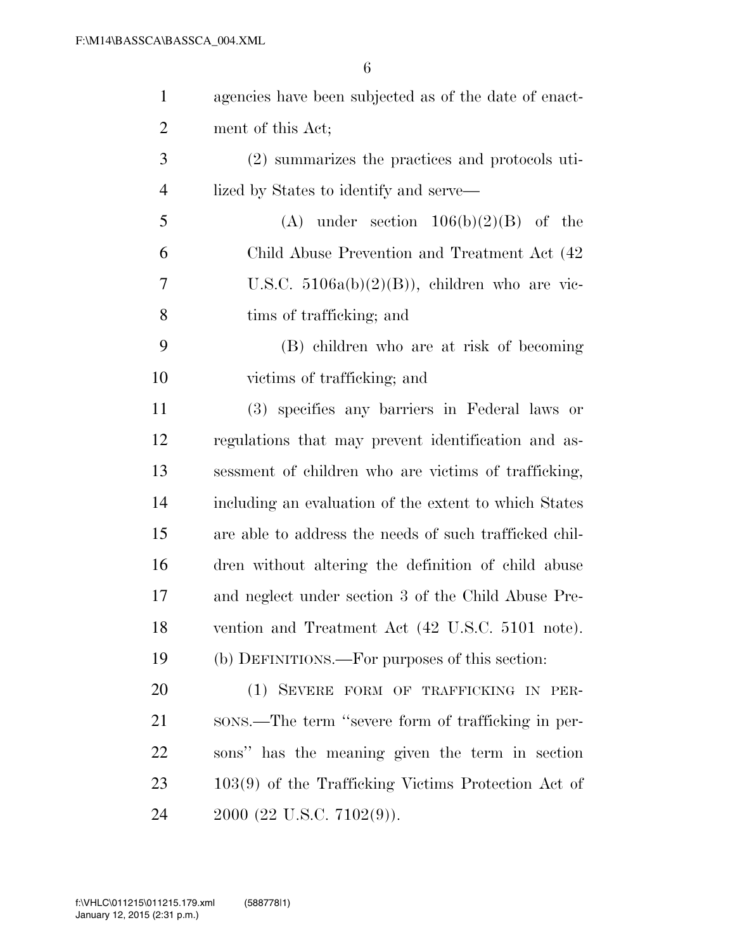| $\mathbf{1}$   | agencies have been subjected as of the date of enact-  |
|----------------|--------------------------------------------------------|
| $\overline{2}$ | ment of this Act;                                      |
| 3              | (2) summarizes the practices and protocols uti-        |
| $\overline{4}$ | lized by States to identify and serve—                 |
| 5              | (A) under section $106(b)(2)(B)$ of the                |
| 6              | Child Abuse Prevention and Treatment Act (42)          |
| 7              | U.S.C. $5106a(b)(2)(B)$ , children who are vic-        |
| 8              | tims of trafficking; and                               |
| 9              | (B) children who are at risk of becoming               |
| 10             | victims of trafficking; and                            |
| 11             | (3) specifies any barriers in Federal laws or          |
| 12             | regulations that may prevent identification and as-    |
| 13             | sessment of children who are victims of trafficking,   |
| 14             | including an evaluation of the extent to which States  |
| 15             | are able to address the needs of such trafficked chil- |
| 16             | dren without altering the definition of child abuse    |
| 17             | and neglect under section 3 of the Child Abuse Pre-    |
| 18             | vention and Treatment Act (42 U.S.C. 5101 note).       |
| 19             | (b) DEFINITIONS.—For purposes of this section:         |
| 20             | (1) SEVERE FORM OF TRAFFICKING IN PER-                 |
| 21             | sons.—The term "severe form of trafficking in per-     |
| 22             | sons" has the meaning given the term in section        |
| 23             | $103(9)$ of the Trafficking Victims Protection Act of  |
| 24             | $2000$ (22 U.S.C. 7102(9)).                            |